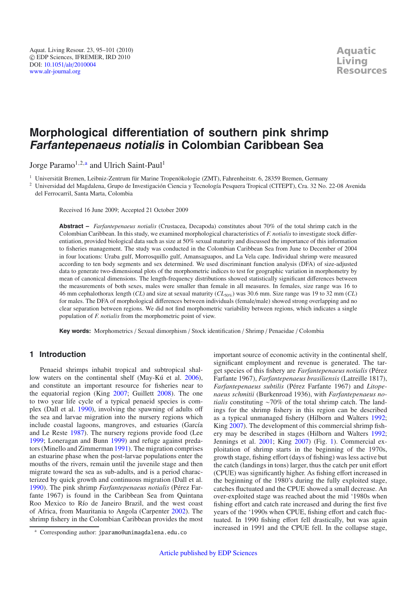# **Morphological differentiation of southern pink shrimp Farfantepenaeus notialis in Colombian Caribbean Sea**

Jorge Paramo<sup>1,2,a</sup> and Ulrich Saint-Paul<sup>1</sup>

<sup>1</sup> Universität Bremen, Leibniz-Zentrum für Marine Tropenökologie (ZMT), Fahrenheitstr. 6, 28359 Bremen, Germany

<sup>2</sup> Universidad del Magdalena, Grupo de Investigación Ciencia y Tecnología Pesquera Tropical (CITEPT), Cra. 32 No. 22-08 Avenida del Ferrocarril, Santa Marta, Colombia

Received 16 June 2009; Accepted 21 October 2009

**Abstract –** *Farfantepenaeus notialis* (Crustacea, Decapoda) constitutes about 70% of the total shrimp catch in the Colombian Caribbean. In this study, we examined morphological characteristics of *F. notialis* to investigate stock differentiation, provided biological data such as size at 50% sexual maturity and discussed the importance of this information to fisheries management. The study was conducted in the Colombian Caribbean Sea from June to December of 2004 in four locations: Uraba gulf, Morrosquillo gulf, Amansaguapos, and La Vela cape. Individual shrimp were measured according to ten body segments and sex determined. We used discriminant function analysis (DFA) of size-adjusted data to generate two-dimensional plots of the morphometric indices to test for geographic variation in morphometry by mean of canonical dimensions. The length-frequency distributions showed statistically significant differences between the measurements of both sexes, males were smaller than female in all measures. In females, size range was 16 to 46 mm cephalothorax length (*CL*) and size at sexual maturity (*CL*50%) was 30.6 mm. Size range was 19 to 32 mm (*CL*) for males. The DFA of morphological differences between individuals (female/male) showed strong overlapping and no clear separation between regions. We did not find morphometric variability between regions, which indicates a single population of *F. notialis* from the morphometric point of view.

**Key words:** Morphometrics / Sexual dimorphism / Stock identification / Shrimp / Penaeidae / Colombia

### **1 Introduction**

Penaeid shrimps inhabit tropical and subtropical shallow waters on the continental shelf (May-Kú et al. [2006\)](#page-6-0), and constitute an important resource for fisheries near to the equatorial region (King [2007;](#page-6-1) Guillett [2008](#page-6-2)). The one to two year life cycle of a typical penaeid species is complex (Dall et al. [1990\)](#page-6-3), involving the spawning of adults off the sea and larvae migration into the nursery regions which include coastal lagoons, mangroves, and estuaries (García and Le Reste [1987](#page-6-4)). The nursery regions provide food (Lee [1999](#page-6-5); Loneragan and Bunn [1999\)](#page-6-6) and refuge against predators (Minello and Zimmerman [1991](#page-6-7)). The migration comprises an estuarine phase when the post-larvae populations enter the mouths of the rivers, remain until the juvenile stage and then migrate toward the sea as sub-adults, and is a period characterized by quick growth and continuous migration (Dall et al. [1990](#page-6-3)). The pink shrimp *Farfantepenaeus notialis* (Pérez Farfante 1967) is found in the Caribbean Sea from Quintana Roo Mexico to Río de Janeiro Brazil, and the west coast of Africa, from Mauritania to Angola (Carpenter [2002\)](#page-6-8). The shrimp fishery in the Colombian Caribbean provides the most

important source of economic activity in the continental shelf, significant employment and revenue is generated. The target species of this fishery are *Farfantepenaeus notialis* (Pérez Farfante 1967), *Farfantepenaeus brasiliensis* (Latreille 1817), *Farfantepenaeus subtilis* (Pérez Farfante 1967) and *Litopenaeus schmitii* (Burkenroad 1936), with *Farfantepenaeus notialis* constituting ∼70% of the total shrimp catch. The landings for the shrimp fishery in this region can be described as a typical unmanaged fishery (Hilborn and Walters [1992;](#page-6-9) King [2007\)](#page-6-1). The development of this commercial shrimp fishery may be described in stages (Hilborn and Walters [1992;](#page-6-9) Jennings et al. [2001;](#page-6-10) King [2007\)](#page-6-1) (Fig. [1\)](#page-1-0). Commercial exploitation of shrimp starts in the beginning of the 1970s, growth stage, fishing effort (days of fishing) was less active but the catch (landings in tons) larger, thus the catch per unit effort (CPUE) was significantly higher. As fishing effort increased in the beginning of the 1980's during the fully exploited stage, catches fluctuated and the CPUE showed a small decrease. An over-exploited stage was reached about the mid '1980s when fishing effort and catch rate increased and during the first five years of the '1990s when CPUE, fishing effort and catch fluctuated. In 1990 fishing effort fell drastically, but was again increased in 1991 and the CPUE fell. In the collapse stage,

<sup>a</sup> Corresponding author: jparamo@unimagdalena.edu.co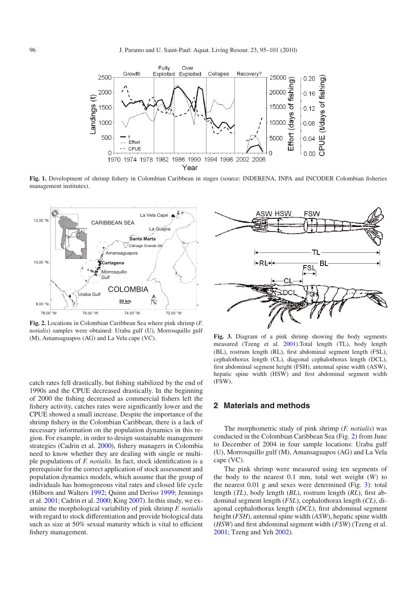<span id="page-1-0"></span>

**Fig. 1.** Development of shrimp fishery in Colombian Caribbean in stages (source: INDERENA, INPA and INCODER Colombian fisheries management institutes).

<span id="page-1-1"></span>

**Fig. 2.** Locations in Colombian Caribbean Sea where pink shrimp (*F. notialis*) samples were obtained: Uraba gulf (U), Morrosquillo gulf (M), Amansaguapos (AG) and La Vela cape (VC).

catch rates fell drastically, but fishing stabilized by the end of 1990s and the CPUE decreased drastically. In the beginning of 2000 the fishing decreased as commercial fishers left the fishery activity, catches rates were significantly lower and the CPUE showed a small increase. Despite the importance of the shrimp fishery in the Colombian Caribbean, there is a lack of necessary information on the population dynamics in this region. For example, in order to design sustainable management strategies (Cadrin et al. [2000](#page-6-11)), fishery managers in Colombia need to know whether they are dealing with single or multiple populations of *F. notialis*. In fact, stock identification is a prerequisite for the correct application of stock assessment and population dynamics models, which assume that the group of individuals has homogeneous vital rates and closed life cycle (Hilborn and Walters [1992;](#page-6-9) Quinn and Deriso [1999](#page-6-12); Jennings et al. [2001;](#page-6-10) Cadrin et al. [2000](#page-6-11); King [2007\)](#page-6-1). In this study, we examine the morphological variability of pink shrimp *F. notialis* with regard to stock differentiation and provide biological data such as size at 50% sexual maturity which is vital to efficient fishery management.

<span id="page-1-2"></span>

**Fig. 3.** Diagram of a pink shrimp showing the body segments measured (Tzeng et al. [2001](#page-6-13)).Total length (TL), body length (BL), rostrum length (RL), first abdominal segment length (FSL), cephalothorax length (CL), diagonal cephalothorax length (DCL), first abdominal segment height (FSH), antennal spine width (ASW), hepatic spine width (HSW) and first abdominal segment width (FSW).

#### **2 Materials and methods**

The morphometric study of pink shrimp (*F. notialis*) was conducted in the Colombian Caribbean Sea (Fig. [2\)](#page-1-1) from June to December of 2004 in four sample locations: Uraba gulf (U), Morrosquillo gulf (M), Amansaguapos (AG) and La Vela cape (VC).

The pink shrimp were measured using ten segments of the body to the nearest 0.1 mm, total wet weight (*W*) to the nearest 0.01 g and sexes were determined (Fig. [3\)](#page-1-2): total length (*TL*), body length (*BL*), rostrum length (*RL*), first abdominal segment length (*FSL*), cephalothorax length (*CL*), diagonal cephalothorax length (*DCL*), first abdominal segment height (*FSH*), antennal spine width (*ASW*), hepatic spine width (*HSW*) and first abdominal segment width (*FSW*) (Tzeng et al. [2001;](#page-6-13) Tzeng and Yeh [2002\)](#page-6-14).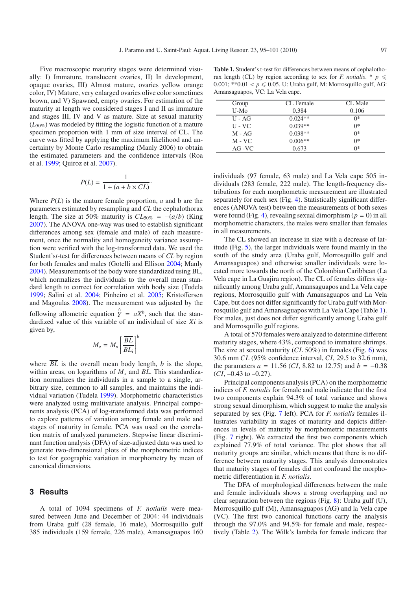Five macroscopic maturity stages were determined visually: I) Immature, translucent ovaries, II) In development, opaque ovaries, III) Almost mature, ovaries yellow orange color, IV) Mature, very enlarged ovaries olive color sometimes brown, and V) Spawned, empty ovaries. For estimation of the maturity at length we considered stages I and II as immature and stages III, IV and V as mature. Size at sexual maturity (*L*50%) was modeled by fitting the logistic function of a mature specimen proportion with 1 mm of size interval of CL. The curve was fitted by applying the maximum likelihood and uncertainty by Monte Carlo resampling (Manly 2006) to obtain the estimated parameters and the confidence intervals (Roa et al. [1999;](#page-6-15) Quiroz et al. [2007](#page-6-16)).

$$
P(L) = \frac{1}{1 + (a + b \times CL)}
$$

·

Where  $P(L)$  is the mature female proportion,  $a$  and  $b$  are the parameters estimated by resampling and *CL* the cephalothorax length. The size at 50% maturity is  $CL_{50\%} = -(a/b)$  (King [2007](#page-6-1)). The ANOVA one-way was used to establish significant differences among sex (female and male) of each measurement, once the normality and homogeneity variance assumption were verified with the log-transformed data. We used the Student's*t*-test for differences between means of *CL* by region for both females and males (Gotelli and Ellison [2004;](#page-6-17) Manly [2004](#page-6-18)). Measurements of the body were standardized using BL, which normalizes the individuals to the overall mean standard length to correct for correlation with body size (Tudela [1999](#page-6-19); Salini et al. [2004](#page-6-20); Pinheiro et al. [2005;](#page-6-21) Kristoffersen and Magoulas [2008\)](#page-6-22). The measurement was adjusted by the following allometric equation  $\hat{Y} = aX^b$ , such that the standardized value of this variable of an individual of size *Xi* is given by,

$$
M_{\rm c} = M_{\rm x} \left[ \frac{\overline{BL}}{BL_{\rm i}} \right]^{\rm b}
$$

where  $\overline{BL}$  is the overall mean body length, *b* is the slope, within areas, on logarithms of  $M_x$  and *BL*. This standardization normalizes the individuals in a sample to a single, arbitrary size, common to all samples, and maintains the individual variation (Tudela [1999\)](#page-6-19). Morphometric characteristics were analyzed using multivariate analysis. Principal components analysis (PCA) of log-transformed data was performed to explore patterns of variation among female and male and stages of maturity in female. PCA was used on the correlation matrix of analyzed parameters. Stepwise linear discriminant function analysis (DFA) of size-adjusted data was used to generate two-dimensional plots of the morphometric indices to test for geographic variation in morphometry by mean of canonical dimensions.

#### **3 Results**

A total of 1094 specimens of *F. notialis* were measured between June and December of 2004: 44 individuals from Uraba gulf (28 female, 16 male), Morrosquillo gulf 385 individuals (159 female, 226 male), Amansaguapos 160

<span id="page-2-0"></span>**Table 1.** Student's t-test for differences between means of cephalothorax length (CL) by region according to sex for *F. notialis.* \*  $p \leq$  $0.001$ ; \*\* $0.01 < p \le 0.05$ . U: Uraba gulf, M: Morrosquillo gulf, AG: Amansaguapos, VC: La Vela cape.

| Group      | CL Female | CL Male |
|------------|-----------|---------|
| $U-Mo$     | 0.384     | 0.106   |
| $U - AG$   | $0.024**$ | ∩*      |
| $U$ - $VC$ | $0.039**$ | $0*$    |
| $M - AG$   | $0.038**$ | $0*$    |
| $M$ - $VC$ | $0.006**$ | $0*$    |
| $AG-VC$    | 0.673     | $0*$    |

individuals (97 female, 63 male) and La Vela cape 505 individuals (283 female, 222 male). The length-frequency distributions for each morphometric measurement are illustrated separately for each sex (Fig. [4\)](#page-3-0). Statistically significant differences (ANOVA test) between the measurements of both sexes were found (Fig. [4\)](#page-3-0), revealing sexual dimorphism ( $p = 0$ ) in all morphometric characters, the males were smaller than females in all measurements.

The CL showed an increase in size with a decrease of latitude (Fig. [5\)](#page-4-0), the larger individuals were found mainly in the south of the study area (Uraba gulf, Morrosquillo gulf and Amansaguapos) and otherwise smaller individuals were located more towards the north of the Colombian Caribbean (La Vela cape in La Guajira region). The CL of females differs significantly among Uraba gulf, Amansaguapos and La Vela cape regions, Morrosquillo gulf with Amansaguapos and La Vela Cape, but does not differ significantly for Uraba gulf with Morrosquillo gulf and Amansaguapos with La Vela Cape (Table [1\)](#page-2-0). For males, just does not differ significantly among Uraba gulf and Morrosquillo gulf regions.

A total of 570 females were analyzed to determine different maturity stages, where 43%, correspond to immature shrimps. The size at sexual maturity (*CL* 50%) in females (Fig. [6\)](#page-4-1) was 30.6 mm *CL* (95% confidence interval, *CI*, 29.5 to 32.6 mm), the parameters  $a = 11.56$  (*CI*, 8.82 to 12.75) and  $b = -0.38$  $(CI, -0.43$  to  $-0.27$ ).

Principal components analysis (PCA) on the morphometric indices of *F. notialis* for female and male indicate that the first two components explain 94.3% of total variance and shows strong sexual dimorphism, which suggest to make the analysis separated by sex (Fig. [7](#page-4-2) left). PCA for *F. notialis* females illustrates variability in stages of maturity and depicts differences in levels of maturity by morphometric measurements (Fig. [7](#page-4-2) right). We extracted the first two components which explained 77.9% of total variance. The plot shows that all maturity groups are similar, which means that there is no difference between maturity stages. This analysis demonstrates that maturity stages of females did not confound the morphometric differentiation in *F. notialis*.

The DFA of morphological differences between the male and female individuals shows a strong overlapping and no clear separation between the regions (Fig.  $8$ ): Uraba gulf (U), Morrosquillo gulf (M), Amansaguapos (AG) and la Vela cape (VC). The first two canonical functions carry the analysis through the 97.0% and 94.5% for female and male, respectively (Table [2\)](#page-5-0). The Wilk's lambda for female indicate that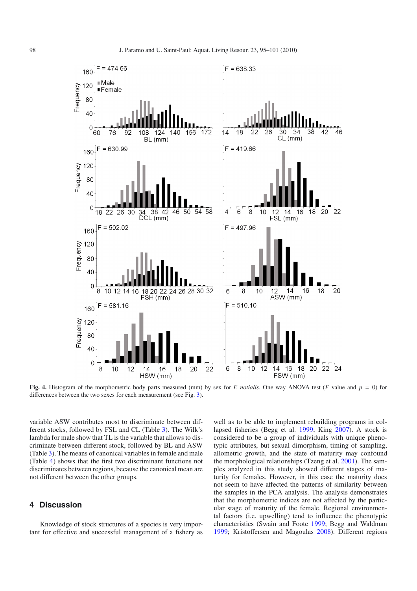

<span id="page-3-0"></span>**Fig. 4.** Histogram of the morphometric body parts measured (mm) by sex for *F. notialis*. One way ANOVA test (*F* value and *p* = 0) for differences between the two sexes for each measurement (see Fig. [3\)](#page-1-2).

variable ASW contributes most to discriminate between different stocks, followed by FSL and CL (Table [3\)](#page-5-1). The Wilk's lambda for male show that TL is the variable that allows to discriminate between different stock, followed by BL and ASW (Table [3\)](#page-5-1). The means of canonical variables in female and male (Table [4\)](#page-5-2) shows that the first two discriminant functions not discriminates between regions, because the canonical mean are not different between the other groups.

## **4 Discussion**

Knowledge of stock structures of a species is very important for effective and successful management of a fishery as

well as to be able to implement rebuilding programs in collapsed fisheries (Begg et al. [1999;](#page-6-23) King [2007](#page-6-1)). A stock is considered to be a group of individuals with unique phenotypic attributes, but sexual dimorphism, timing of sampling, allometric growth, and the state of maturity may confound the morphological relationships (Tzeng et al. [2001\)](#page-6-13). The samples analyzed in this study showed different stages of maturity for females. However, in this case the maturity does not seem to have affected the patterns of similarity between the samples in the PCA analysis. The analysis demonstrates that the morphometric indices are not affected by the particular stage of maturity of the female. Regional environmental factors (i.e. upwelling) tend to influence the phenotypic characteristics (Swain and Foote [1999;](#page-6-24) Begg and Waldman [1999;](#page-5-3) Kristoffersen and Magoulas [2008\)](#page-6-22). Different regions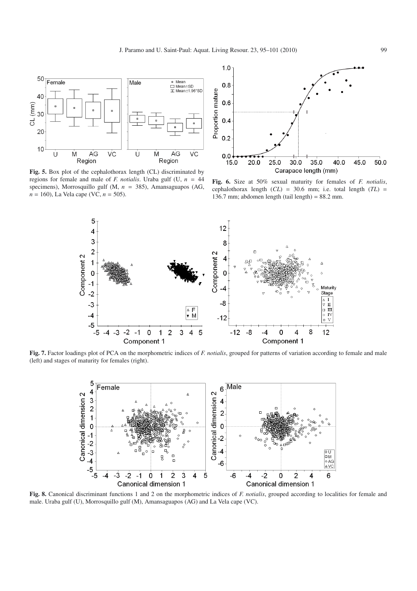<span id="page-4-0"></span>

**Fig. 5.** Box plot of the cephalothorax length (CL) discriminated by regions for female and male of *F. notialis*. Uraba gulf (U, *n* = 44 specimens), Morrosquillo gulf (M, *n* = 385), Amansaguapos (AG, *n* = 160), La Vela cape (VC, *n* = 505).

<span id="page-4-1"></span>

**Fig. 6.** Size at 50% sexual maturity for females of *F. notialis*, cephalothorax length  $(CL) = 30.6$  mm; i.e. total length  $(TL) =$ 136.7 mm; abdomen length (tail length) =  $88.2$  mm.

<span id="page-4-2"></span>

<span id="page-4-3"></span>**Fig. 7.** Factor loadings plot of PCA on the morphometric indices of *F. notialis*, grouped for patterns of variation according to female and male (left) and stages of maturity for females (right).



**Fig. 8.** Canonical discriminant functions 1 and 2 on the morphometric indices of *F. notialis*, grouped according to localities for female and male. Uraba gulf (U), Morrosquillo gulf (M), Amansaguapos (AG) and La Vela cape (VC).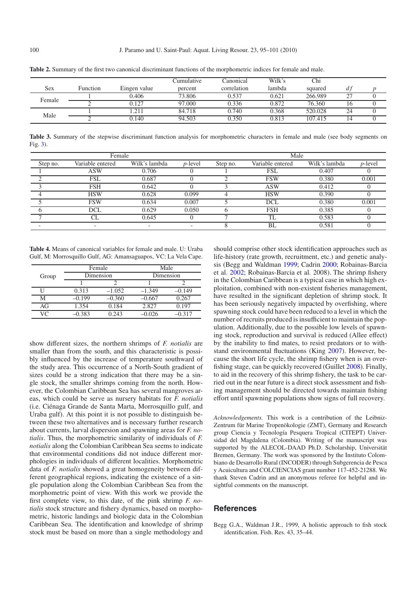|        |          |              | Cumulative | Canonical   | Wilk's | Chi     |        |  |
|--------|----------|--------------|------------|-------------|--------|---------|--------|--|
| Sex    | Function | Eingen value | percent    | correlation | lambda | squared |        |  |
| Female |          | 0.406        | 73.806     | 0.537       | 0.621  | 266.989 | $\sim$ |  |
|        |          | 0.127        | 97.000     | 0.336       | 0.872  | 76.360  | 10     |  |
| Male   |          | .211         | 84.718     | 0.740       | 0.368  | 520.028 | 24     |  |
|        |          | 0.140        | 94.503     | 0.350       | 0.813  | 107.415 |        |  |

<span id="page-5-1"></span><span id="page-5-0"></span>**Table 2.** Summary of the first two canonical discriminant functions of the morphometric indices for female and male.

**Table 3.** Summary of the stepwise discriminant function analysis for morphometric characters in female and male (see body segments on Fig. [3\)](#page-1-2).

<span id="page-5-2"></span>

|          | Female           |               |                 | Male     |                  |               |            |
|----------|------------------|---------------|-----------------|----------|------------------|---------------|------------|
| Step no. | Variable entered | Wilk's lambda | <i>p</i> -level | Step no. | Variable entered | Wilk's lambda | $p$ -level |
|          | ASW              | 0.706         |                 |          | <b>FSL</b>       | 0.407         |            |
|          | <b>FSL</b>       | 0.687         |                 |          | <b>FSW</b>       | 0.380         | 0.001      |
|          | <b>FSH</b>       | 0.642         |                 |          | <b>ASW</b>       | 0.412         |            |
|          | <b>HSW</b>       | 0.628         | 0.099           |          | <b>HSW</b>       | 0.390         |            |
|          | <b>FSW</b>       | 0.634         | 0.007           |          | <b>DCL</b>       | 0.380         | 0.001      |
|          | DCL              | 0.629         | 0.050           |          | <b>FSH</b>       | 0.385         |            |
|          |                  | 0.645         |                 |          | TL               | 0.583         |            |
|          |                  |               |                 |          | BL               | 0.581         |            |

|  |  | <b>Table 4.</b> Means of canonical variables for female and male. U: Uraba |  |  |  |
|--|--|----------------------------------------------------------------------------|--|--|--|
|  |  | Gulf, M: Morrosquillo Gulf, AG: Amansaguapos, VC: La Vela Cape.            |  |  |  |

|       |          | Female    | Male      |          |  |
|-------|----------|-----------|-----------|----------|--|
| Group |          | Dimension | Dimension |          |  |
|       |          |           |           |          |  |
|       | 0.313    | $-1.052$  | $-1.349$  | $-0.149$ |  |
| М     | $-0.199$ | $-0.360$  | $-0.667$  | 0.267    |  |
| AG    | 1.354    | 0.184     | 2.827     | 0.197    |  |
| VC    | $-0.383$ | 0.243     | 0.026     | 0.317    |  |

show different sizes, the northern shrimps of *F. notialis* are smaller than from the south, and this characteristic is possibly influenced by the increase of temperature southward of the study area. This occurrence of a North-South gradient of sizes could be a strong indication that there may be a single stock, the smaller shrimps coming from the north. However, the Colombian Caribbean Sea has several mangroves areas, which could be serve as nursery habitats for *F. notialis* (i.e. Ciénaga Grande de Santa Marta, Morrosquillo gulf, and Uraba gulf). At this point it is not possible to distinguish between these two alternatives and is necessary further research about currents, larval dispersion and spawning areas for *F. notialis*. Thus, the morphometric similarity of individuals of *F. notialis* along the Colombian Caribbean Sea seems to indicate that environmental conditions did not induce different morphologies in individuals of different localities. Morphometric data of *F. notialis* showed a great homogeneity between different geographical regions, indicating the existence of a single population along the Colombian Caribbean Sea from the morphometric point of view. With this work we provide the first complete view, to this date, of the pink shrimp *F. notialis* stock structure and fishery dynamics, based on morphometric, historic landings and biologic data in the Colombian Caribbean Sea. The identification and knowledge of shrimp stock must be based on more than a single methodology and

should comprise other stock identification approaches such as life-history (rate growth, recruitment, etc.) and genetic analysis (Begg and Waldman [1999](#page-5-3); Cadrin [2000](#page-6-25); Robainas-Barcia et al. [2002](#page-6-26); Robainas-Barcia et al. 2008). The shrimp fishery in the Colombian Caribbean is a typical case in which high exploitation, combined with non-existent fisheries management, have resulted in the significant depletion of shrimp stock. It has been seriously negatively impacted by overfishing, where spawning stock could have been reduced to a level in which the number of recruits produced is insufficient to maintain the population. Additionally, due to the possible low levels of spawning stock, reproduction and survival is reduced (Allee effect) by the inability to find mates, to resist predators or to withstand environmental fluctuations (King [2007](#page-6-1)). However, because the short life cycle, the shrimp fishery when is an overfishing stage, can be quickly recovered (Guillet [2008](#page-6-2)). Finally, to aid in the recovery of this shrimp fishery, the task to be carried out in the near future is a direct stock assessment and fishing management should be directed towards maintain fishing effort until spawning populations show signs of full recovery.

*Acknowledgements.* This work is a contribution of the Leibniz-Zentrum für Marine Tropenökologie (ZMT), Germany and Research group Ciencia y Tecnología Pesquera Tropical (CITEPT) Universidad del Magdalena (Colombia). Writing of the manuscript was supported by the ALECOL-DAAD Ph.D. Scholarship, Universität Bremen, Germany. The work was sponsored by the Instituto Colombiano de Desarrollo Rural (INCODER) through Subgerencia de Pesca y Acuicultura and COLCIENCIAS grant number 117-452-21288. We thank Steven Cadrin and an anonymous referee for helpful and insightful comments on the manuscript.

#### **References**

<span id="page-5-3"></span>Begg G.A., Waldman J.R., 1999, A holistic approach to fish stock identification. Fish. Res. 43, 35–44.